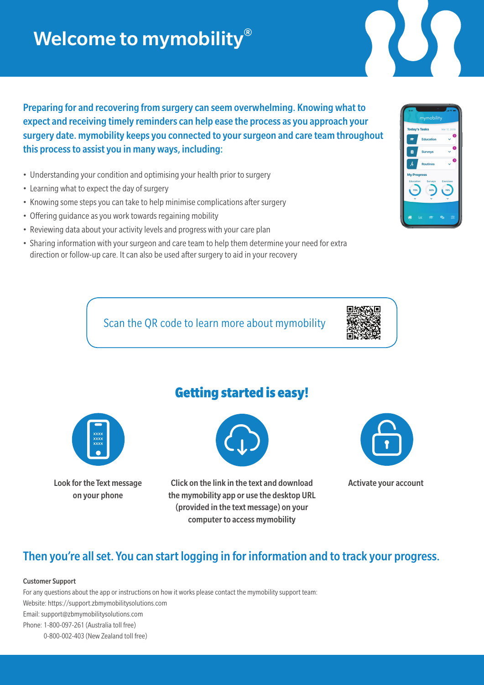# Welcome to mymobility®

Preparing for and recovering from surgery can seem overwhelming. Knowing what to expect and receiving timely reminders can help ease the process as you approach your surgery date. mymobility keeps you connected to your surgeon and care team throughout this process to assist you in many ways, including:

- Understanding your condition and optimising your health prior to surgery
- Learning what to expect the day of surgery
- Knowing some steps you can take to help minimise complications after surgery
- Offering guidance as you work towards regaining mobility
- Reviewing data about your activity levels and progress with your care plan
- Sharing information with your surgeon and care team to help them determine your need for extra direction or follow-up care. It can also be used after surgery to aid in your recovery

Scan the QR code to learn more about mymobility





Look for the Text message on your phone

## Getting started is easy!



Click on the link in the text and download the mymobility app or use the desktop URL (provided in the text message) on your computer to access mymobility



Activate your account

## Then you're all set. You can start logging in for information and to track your progress.

### Customer Support

For any questions about the app or instructions on how it works please contact the mymobility support team: Website: https://support.zbmymobilitysolutions.com Email: support@zbmymobilitysolutions.com Phone: 1-800-097-261 (Australia toll free) 0-800-002-403 (New Zealand toll free)